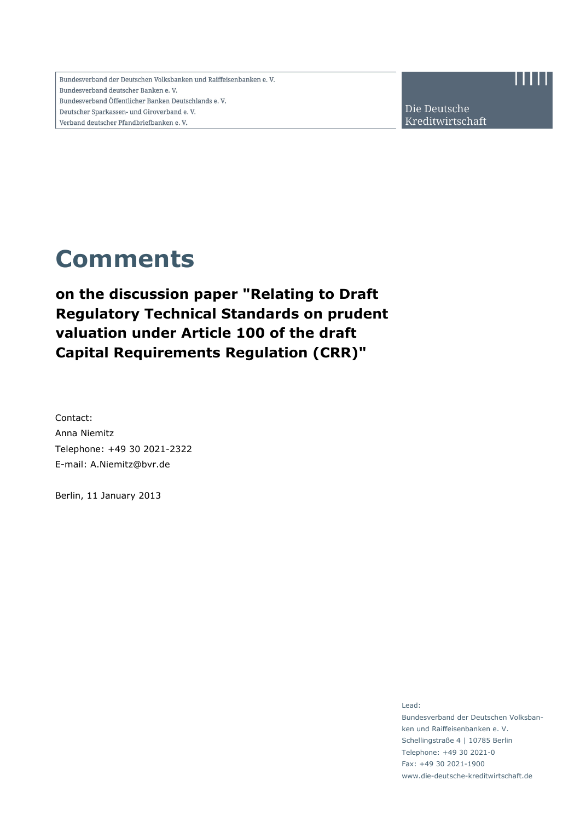Bundesverband der Deutschen Volksbanken und Raiffeisenbanken e.V. Bundesverband deutscher Banken e.V. Bundesverband Öffentlicher Banken Deutschlands e.V. Deutscher Sparkassen- und Giroverband e.V. Verband deutscher Pfandbriefbanken e.V.

Die Deutsche Kreditwirtschaft

# **Comments**

**on the discussion paper "Relating to Draft Regulatory Technical Standards on prudent valuation under Article 100 of the draft Capital Requirements Regulation (CRR)"** 

Contact: Anna Niemitz Telephone: +49 30 2021-2322 E-mail: A.Niemitz@bvr.de

Berlin, 11 January 2013

Lead: Bundesverband der Deutschen Volksbanken und Raiffeisenbanken e. V. Schellingstraße 4 | 10785 Berlin Telephone: +49 30 2021-0 Fax: +49 30 2021-1900 www.die-deutsche-kreditwirtschaft.de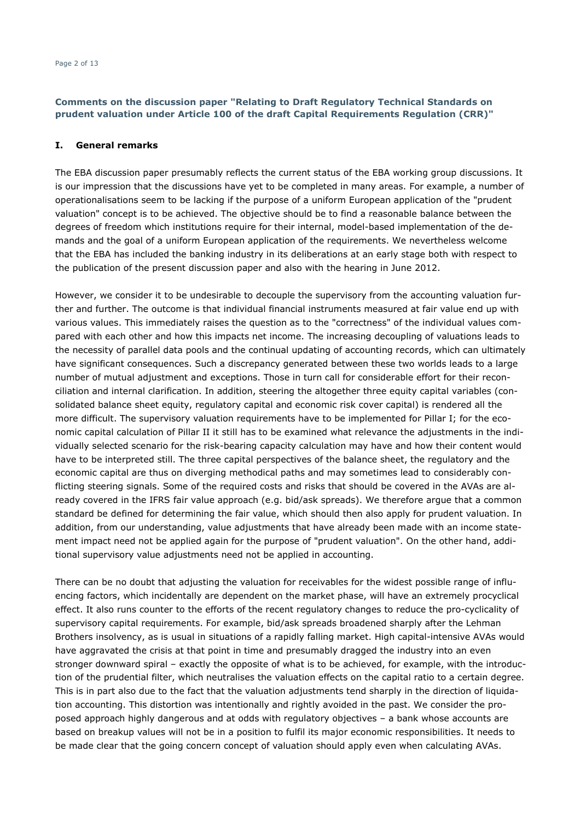#### **I. General remarks**

The EBA discussion paper presumably reflects the current status of the EBA working group discussions. It is our impression that the discussions have yet to be completed in many areas. For example, a number of operationalisations seem to be lacking if the purpose of a uniform European application of the "prudent valuation" concept is to be achieved. The objective should be to find a reasonable balance between the degrees of freedom which institutions require for their internal, model-based implementation of the demands and the goal of a uniform European application of the requirements. We nevertheless welcome that the EBA has included the banking industry in its deliberations at an early stage both with respect to the publication of the present discussion paper and also with the hearing in June 2012.

However, we consider it to be undesirable to decouple the supervisory from the accounting valuation further and further. The outcome is that individual financial instruments measured at fair value end up with various values. This immediately raises the question as to the "correctness" of the individual values compared with each other and how this impacts net income. The increasing decoupling of valuations leads to the necessity of parallel data pools and the continual updating of accounting records, which can ultimately have significant consequences. Such a discrepancy generated between these two worlds leads to a large number of mutual adjustment and exceptions. Those in turn call for considerable effort for their reconciliation and internal clarification. In addition, steering the altogether three equity capital variables (consolidated balance sheet equity, regulatory capital and economic risk cover capital) is rendered all the more difficult. The supervisory valuation requirements have to be implemented for Pillar I; for the economic capital calculation of Pillar II it still has to be examined what relevance the adjustments in the individually selected scenario for the risk-bearing capacity calculation may have and how their content would have to be interpreted still. The three capital perspectives of the balance sheet, the regulatory and the economic capital are thus on diverging methodical paths and may sometimes lead to considerably conflicting steering signals. Some of the required costs and risks that should be covered in the AVAs are already covered in the IFRS fair value approach (e.g. bid/ask spreads). We therefore argue that a common standard be defined for determining the fair value, which should then also apply for prudent valuation. In addition, from our understanding, value adjustments that have already been made with an income statement impact need not be applied again for the purpose of "prudent valuation". On the other hand, additional supervisory value adjustments need not be applied in accounting.

There can be no doubt that adjusting the valuation for receivables for the widest possible range of influencing factors, which incidentally are dependent on the market phase, will have an extremely procyclical effect. It also runs counter to the efforts of the recent regulatory changes to reduce the pro-cyclicality of supervisory capital requirements. For example, bid/ask spreads broadened sharply after the Lehman Brothers insolvency, as is usual in situations of a rapidly falling market. High capital-intensive AVAs would have aggravated the crisis at that point in time and presumably dragged the industry into an even stronger downward spiral – exactly the opposite of what is to be achieved, for example, with the introduction of the prudential filter, which neutralises the valuation effects on the capital ratio to a certain degree. This is in part also due to the fact that the valuation adjustments tend sharply in the direction of liquidation accounting. This distortion was intentionally and rightly avoided in the past. We consider the proposed approach highly dangerous and at odds with regulatory objectives – a bank whose accounts are based on breakup values will not be in a position to fulfil its major economic responsibilities. It needs to be made clear that the going concern concept of valuation should apply even when calculating AVAs.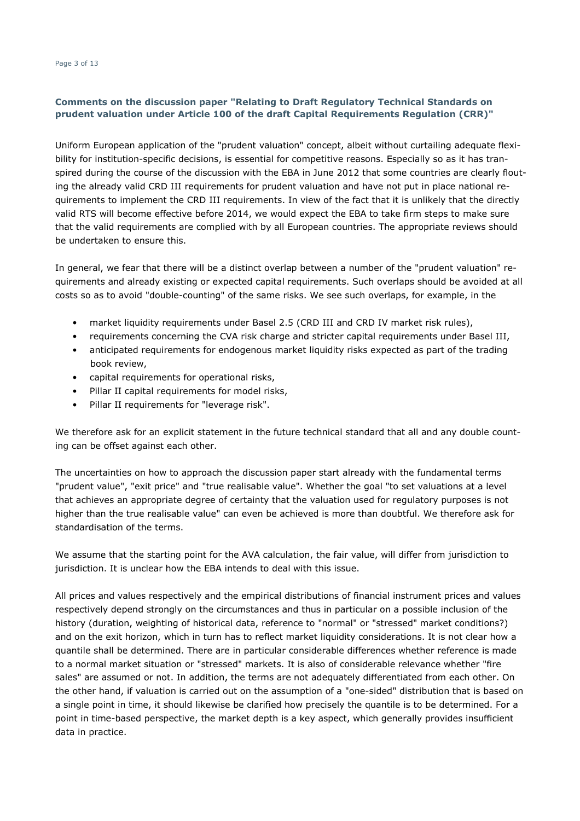Uniform European application of the "prudent valuation" concept, albeit without curtailing adequate flexibility for institution-specific decisions, is essential for competitive reasons. Especially so as it has transpired during the course of the discussion with the EBA in June 2012 that some countries are clearly flouting the already valid CRD III requirements for prudent valuation and have not put in place national requirements to implement the CRD III requirements. In view of the fact that it is unlikely that the directly valid RTS will become effective before 2014, we would expect the EBA to take firm steps to make sure that the valid requirements are complied with by all European countries. The appropriate reviews should be undertaken to ensure this.

In general, we fear that there will be a distinct overlap between a number of the "prudent valuation" requirements and already existing or expected capital requirements. Such overlaps should be avoided at all costs so as to avoid "double-counting" of the same risks. We see such overlaps, for example, in the

- market liquidity requirements under Basel 2.5 (CRD III and CRD IV market risk rules),
- requirements concerning the CVA risk charge and stricter capital requirements under Basel III,
- anticipated requirements for endogenous market liquidity risks expected as part of the trading book review,
- capital requirements for operational risks,
- Pillar II capital requirements for model risks,
- Pillar II requirements for "leverage risk".

We therefore ask for an explicit statement in the future technical standard that all and any double counting can be offset against each other.

The uncertainties on how to approach the discussion paper start already with the fundamental terms "prudent value", "exit price" and "true realisable value". Whether the goal "to set valuations at a level that achieves an appropriate degree of certainty that the valuation used for regulatory purposes is not higher than the true realisable value" can even be achieved is more than doubtful. We therefore ask for standardisation of the terms.

We assume that the starting point for the AVA calculation, the fair value, will differ from jurisdiction to jurisdiction. It is unclear how the EBA intends to deal with this issue.

All prices and values respectively and the empirical distributions of financial instrument prices and values respectively depend strongly on the circumstances and thus in particular on a possible inclusion of the history (duration, weighting of historical data, reference to "normal" or "stressed" market conditions?) and on the exit horizon, which in turn has to reflect market liquidity considerations. It is not clear how a quantile shall be determined. There are in particular considerable differences whether reference is made to a normal market situation or "stressed" markets. It is also of considerable relevance whether "fire sales" are assumed or not. In addition, the terms are not adequately differentiated from each other. On the other hand, if valuation is carried out on the assumption of a "one-sided" distribution that is based on a single point in time, it should likewise be clarified how precisely the quantile is to be determined. For a point in time-based perspective, the market depth is a key aspect, which generally provides insufficient data in practice.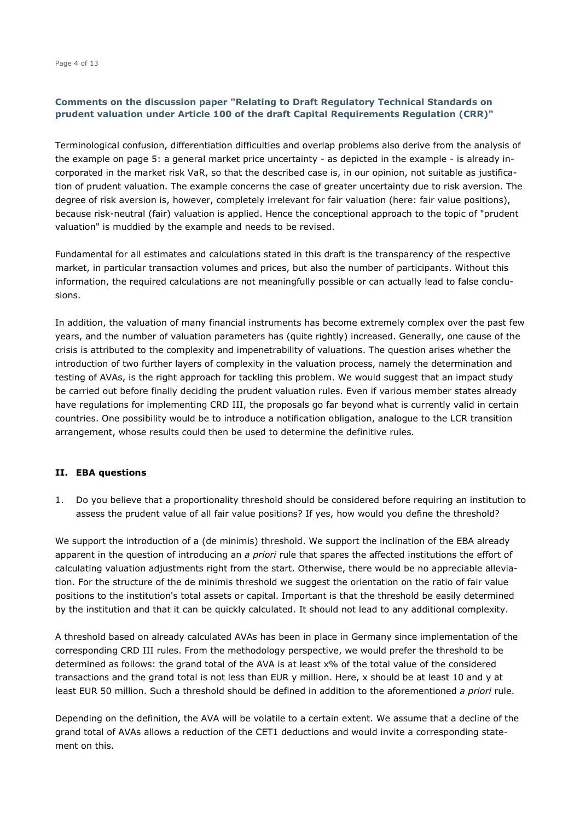Terminological confusion, differentiation difficulties and overlap problems also derive from the analysis of the example on page 5: a general market price uncertainty - as depicted in the example - is already incorporated in the market risk VaR, so that the described case is, in our opinion, not suitable as justification of prudent valuation. The example concerns the case of greater uncertainty due to risk aversion. The degree of risk aversion is, however, completely irrelevant for fair valuation (here: fair value positions), because risk-neutral (fair) valuation is applied. Hence the conceptional approach to the topic of "prudent valuation" is muddied by the example and needs to be revised.

Fundamental for all estimates and calculations stated in this draft is the transparency of the respective market, in particular transaction volumes and prices, but also the number of participants. Without this information, the required calculations are not meaningfully possible or can actually lead to false conclusions.

In addition, the valuation of many financial instruments has become extremely complex over the past few years, and the number of valuation parameters has (quite rightly) increased. Generally, one cause of the crisis is attributed to the complexity and impenetrability of valuations. The question arises whether the introduction of two further layers of complexity in the valuation process, namely the determination and testing of AVAs, is the right approach for tackling this problem. We would suggest that an impact study be carried out before finally deciding the prudent valuation rules. Even if various member states already have regulations for implementing CRD III, the proposals go far beyond what is currently valid in certain countries. One possibility would be to introduce a notification obligation, analogue to the LCR transition arrangement, whose results could then be used to determine the definitive rules.

## **II. EBA questions**

1. Do you believe that a proportionality threshold should be considered before requiring an institution to assess the prudent value of all fair value positions? If yes, how would you define the threshold?

We support the introduction of a (de minimis) threshold. We support the inclination of the EBA already apparent in the question of introducing an *a priori* rule that spares the affected institutions the effort of calculating valuation adjustments right from the start. Otherwise, there would be no appreciable alleviation. For the structure of the de minimis threshold we suggest the orientation on the ratio of fair value positions to the institution's total assets or capital. Important is that the threshold be easily determined by the institution and that it can be quickly calculated. It should not lead to any additional complexity.

A threshold based on already calculated AVAs has been in place in Germany since implementation of the corresponding CRD III rules. From the methodology perspective, we would prefer the threshold to be determined as follows: the grand total of the AVA is at least x% of the total value of the considered transactions and the grand total is not less than EUR y million. Here, x should be at least 10 and y at least EUR 50 million. Such a threshold should be defined in addition to the aforementioned *a priori* rule.

Depending on the definition, the AVA will be volatile to a certain extent. We assume that a decline of the grand total of AVAs allows a reduction of the CET1 deductions and would invite a corresponding statement on this.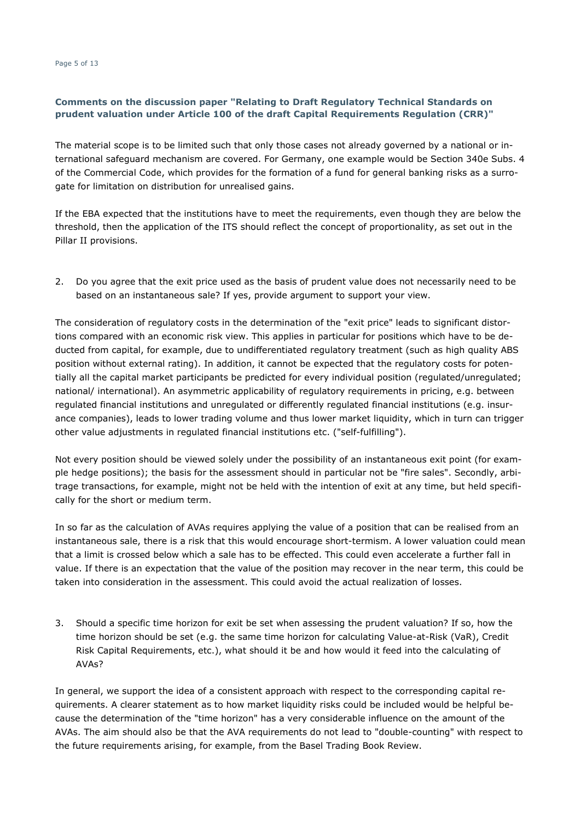The material scope is to be limited such that only those cases not already governed by a national or international safeguard mechanism are covered. For Germany, one example would be Section 340e Subs. 4 of the Commercial Code, which provides for the formation of a fund for general banking risks as a surrogate for limitation on distribution for unrealised gains.

If the EBA expected that the institutions have to meet the requirements, even though they are below the threshold, then the application of the ITS should reflect the concept of proportionality, as set out in the Pillar II provisions.

2. Do you agree that the exit price used as the basis of prudent value does not necessarily need to be based on an instantaneous sale? If yes, provide argument to support your view.

The consideration of regulatory costs in the determination of the "exit price" leads to significant distortions compared with an economic risk view. This applies in particular for positions which have to be deducted from capital, for example, due to undifferentiated regulatory treatment (such as high quality ABS position without external rating). In addition, it cannot be expected that the regulatory costs for potentially all the capital market participants be predicted for every individual position (regulated/unregulated; national/ international). An asymmetric applicability of regulatory requirements in pricing, e.g. between regulated financial institutions and unregulated or differently regulated financial institutions (e.g. insurance companies), leads to lower trading volume and thus lower market liquidity, which in turn can trigger other value adjustments in regulated financial institutions etc. ("self-fulfilling").

Not every position should be viewed solely under the possibility of an instantaneous exit point (for example hedge positions); the basis for the assessment should in particular not be "fire sales". Secondly, arbitrage transactions, for example, might not be held with the intention of exit at any time, but held specifically for the short or medium term.

In so far as the calculation of AVAs requires applying the value of a position that can be realised from an instantaneous sale, there is a risk that this would encourage short-termism. A lower valuation could mean that a limit is crossed below which a sale has to be effected. This could even accelerate a further fall in value. If there is an expectation that the value of the position may recover in the near term, this could be taken into consideration in the assessment. This could avoid the actual realization of losses.

3. Should a specific time horizon for exit be set when assessing the prudent valuation? If so, how the time horizon should be set (e.g. the same time horizon for calculating Value-at-Risk (VaR), Credit Risk Capital Requirements, etc.), what should it be and how would it feed into the calculating of AVAs?

In general, we support the idea of a consistent approach with respect to the corresponding capital requirements. A clearer statement as to how market liquidity risks could be included would be helpful because the determination of the "time horizon" has a very considerable influence on the amount of the AVAs. The aim should also be that the AVA requirements do not lead to "double-counting" with respect to the future requirements arising, for example, from the Basel Trading Book Review.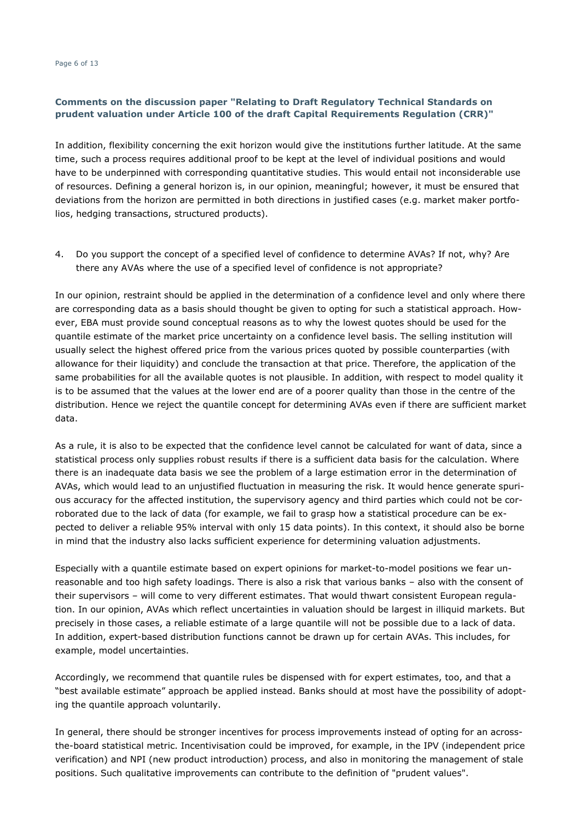In addition, flexibility concerning the exit horizon would give the institutions further latitude. At the same time, such a process requires additional proof to be kept at the level of individual positions and would have to be underpinned with corresponding quantitative studies. This would entail not inconsiderable use of resources. Defining a general horizon is, in our opinion, meaningful; however, it must be ensured that deviations from the horizon are permitted in both directions in justified cases (e.g. market maker portfolios, hedging transactions, structured products).

4. Do you support the concept of a specified level of confidence to determine AVAs? If not, why? Are there any AVAs where the use of a specified level of confidence is not appropriate?

In our opinion, restraint should be applied in the determination of a confidence level and only where there are corresponding data as a basis should thought be given to opting for such a statistical approach. However, EBA must provide sound conceptual reasons as to why the lowest quotes should be used for the quantile estimate of the market price uncertainty on a confidence level basis. The selling institution will usually select the highest offered price from the various prices quoted by possible counterparties (with allowance for their liquidity) and conclude the transaction at that price. Therefore, the application of the same probabilities for all the available quotes is not plausible. In addition, with respect to model quality it is to be assumed that the values at the lower end are of a poorer quality than those in the centre of the distribution. Hence we reject the quantile concept for determining AVAs even if there are sufficient market data.

As a rule, it is also to be expected that the confidence level cannot be calculated for want of data, since a statistical process only supplies robust results if there is a sufficient data basis for the calculation. Where there is an inadequate data basis we see the problem of a large estimation error in the determination of AVAs, which would lead to an unjustified fluctuation in measuring the risk. It would hence generate spurious accuracy for the affected institution, the supervisory agency and third parties which could not be corroborated due to the lack of data (for example, we fail to grasp how a statistical procedure can be expected to deliver a reliable 95% interval with only 15 data points). In this context, it should also be borne in mind that the industry also lacks sufficient experience for determining valuation adjustments.

Especially with a quantile estimate based on expert opinions for market-to-model positions we fear unreasonable and too high safety loadings. There is also a risk that various banks – also with the consent of their supervisors – will come to very different estimates. That would thwart consistent European regulation. In our opinion, AVAs which reflect uncertainties in valuation should be largest in illiquid markets. But precisely in those cases, a reliable estimate of a large quantile will not be possible due to a lack of data. In addition, expert-based distribution functions cannot be drawn up for certain AVAs. This includes, for example, model uncertainties.

Accordingly, we recommend that quantile rules be dispensed with for expert estimates, too, and that a "best available estimate" approach be applied instead. Banks should at most have the possibility of adopting the quantile approach voluntarily.

In general, there should be stronger incentives for process improvements instead of opting for an acrossthe-board statistical metric. Incentivisation could be improved, for example, in the IPV (independent price verification) and NPI (new product introduction) process, and also in monitoring the management of stale positions. Such qualitative improvements can contribute to the definition of "prudent values".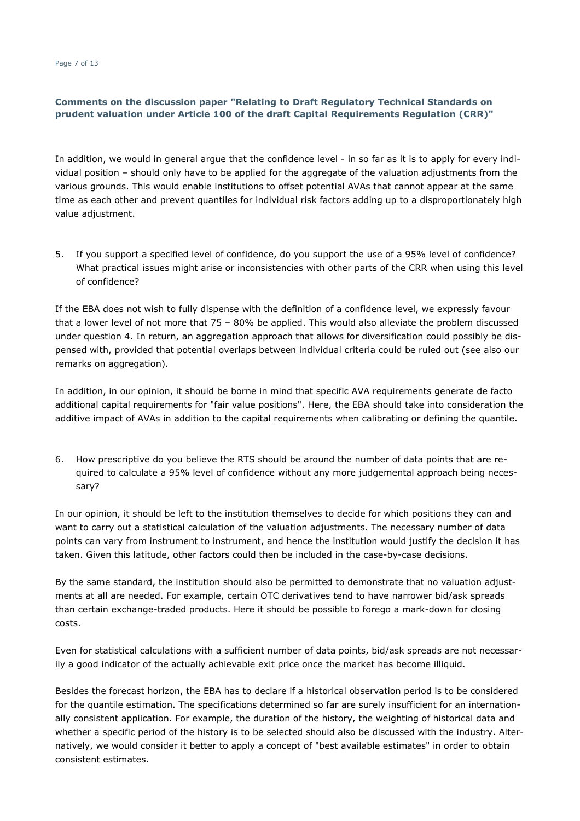In addition, we would in general argue that the confidence level - in so far as it is to apply for every individual position – should only have to be applied for the aggregate of the valuation adjustments from the various grounds. This would enable institutions to offset potential AVAs that cannot appear at the same time as each other and prevent quantiles for individual risk factors adding up to a disproportionately high value adjustment.

5. If you support a specified level of confidence, do you support the use of a 95% level of confidence? What practical issues might arise or inconsistencies with other parts of the CRR when using this level of confidence?

If the EBA does not wish to fully dispense with the definition of a confidence level, we expressly favour that a lower level of not more that 75 – 80% be applied. This would also alleviate the problem discussed under question 4. In return, an aggregation approach that allows for diversification could possibly be dispensed with, provided that potential overlaps between individual criteria could be ruled out (see also our remarks on aggregation).

In addition, in our opinion, it should be borne in mind that specific AVA requirements generate de facto additional capital requirements for "fair value positions". Here, the EBA should take into consideration the additive impact of AVAs in addition to the capital requirements when calibrating or defining the quantile.

6. How prescriptive do you believe the RTS should be around the number of data points that are required to calculate a 95% level of confidence without any more judgemental approach being necessary?

In our opinion, it should be left to the institution themselves to decide for which positions they can and want to carry out a statistical calculation of the valuation adjustments. The necessary number of data points can vary from instrument to instrument, and hence the institution would justify the decision it has taken. Given this latitude, other factors could then be included in the case-by-case decisions.

By the same standard, the institution should also be permitted to demonstrate that no valuation adjustments at all are needed. For example, certain OTC derivatives tend to have narrower bid/ask spreads than certain exchange-traded products. Here it should be possible to forego a mark-down for closing costs.

Even for statistical calculations with a sufficient number of data points, bid/ask spreads are not necessarily a good indicator of the actually achievable exit price once the market has become illiquid.

Besides the forecast horizon, the EBA has to declare if a historical observation period is to be considered for the quantile estimation. The specifications determined so far are surely insufficient for an internationally consistent application. For example, the duration of the history, the weighting of historical data and whether a specific period of the history is to be selected should also be discussed with the industry. Alternatively, we would consider it better to apply a concept of "best available estimates" in order to obtain consistent estimates.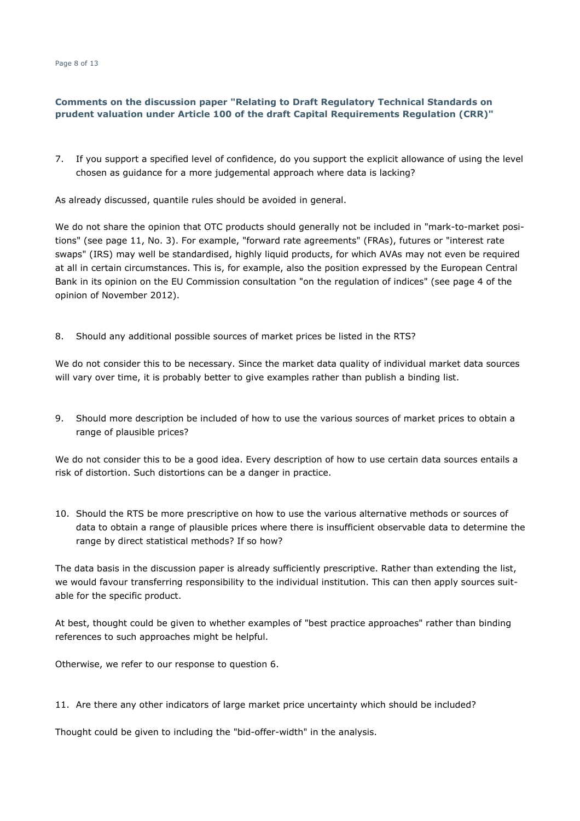Page 8 of 13

#### **Comments on the discussion paper "Relating to Draft Regulatory Technical Standards on prudent valuation under Article 100 of the draft Capital Requirements Regulation (CRR)"**

7. If you support a specified level of confidence, do you support the explicit allowance of using the level chosen as guidance for a more judgemental approach where data is lacking?

As already discussed, quantile rules should be avoided in general.

We do not share the opinion that OTC products should generally not be included in "mark-to-market positions" (see page 11, No. 3). For example, "forward rate agreements" (FRAs), futures or "interest rate swaps" (IRS) may well be standardised, highly liquid products, for which AVAs may not even be required at all in certain circumstances. This is, for example, also the position expressed by the European Central Bank in its opinion on the EU Commission consultation "on the regulation of indices" (see page 4 of the opinion of November 2012).

8. Should any additional possible sources of market prices be listed in the RTS?

We do not consider this to be necessary. Since the market data quality of individual market data sources will vary over time, it is probably better to give examples rather than publish a binding list.

9. Should more description be included of how to use the various sources of market prices to obtain a range of plausible prices?

We do not consider this to be a good idea. Every description of how to use certain data sources entails a risk of distortion. Such distortions can be a danger in practice.

10. Should the RTS be more prescriptive on how to use the various alternative methods or sources of data to obtain a range of plausible prices where there is insufficient observable data to determine the range by direct statistical methods? If so how?

The data basis in the discussion paper is already sufficiently prescriptive. Rather than extending the list, we would favour transferring responsibility to the individual institution. This can then apply sources suitable for the specific product.

At best, thought could be given to whether examples of "best practice approaches" rather than binding references to such approaches might be helpful.

Otherwise, we refer to our response to question 6.

11. Are there any other indicators of large market price uncertainty which should be included?

Thought could be given to including the "bid-offer-width" in the analysis.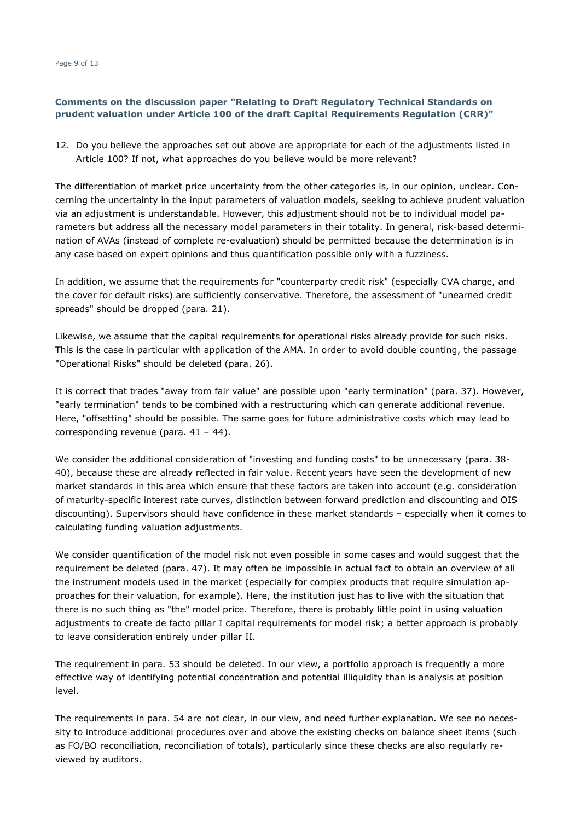12. Do you believe the approaches set out above are appropriate for each of the adjustments listed in Article 100? If not, what approaches do you believe would be more relevant?

The differentiation of market price uncertainty from the other categories is, in our opinion, unclear. Concerning the uncertainty in the input parameters of valuation models, seeking to achieve prudent valuation via an adjustment is understandable. However, this adjustment should not be to individual model parameters but address all the necessary model parameters in their totality. In general, risk-based determination of AVAs (instead of complete re-evaluation) should be permitted because the determination is in any case based on expert opinions and thus quantification possible only with a fuzziness.

In addition, we assume that the requirements for "counterparty credit risk" (especially CVA charge, and the cover for default risks) are sufficiently conservative. Therefore, the assessment of "unearned credit spreads" should be dropped (para. 21).

Likewise, we assume that the capital requirements for operational risks already provide for such risks. This is the case in particular with application of the AMA. In order to avoid double counting, the passage "Operational Risks" should be deleted (para. 26).

It is correct that trades "away from fair value" are possible upon "early termination" (para. 37). However, "early termination" tends to be combined with a restructuring which can generate additional revenue. Here, "offsetting" should be possible. The same goes for future administrative costs which may lead to corresponding revenue (para. 41 – 44).

We consider the additional consideration of "investing and funding costs" to be unnecessary (para. 38- 40), because these are already reflected in fair value. Recent years have seen the development of new market standards in this area which ensure that these factors are taken into account (e.g. consideration of maturity-specific interest rate curves, distinction between forward prediction and discounting and OIS discounting). Supervisors should have confidence in these market standards – especially when it comes to calculating funding valuation adjustments.

We consider quantification of the model risk not even possible in some cases and would suggest that the requirement be deleted (para. 47). It may often be impossible in actual fact to obtain an overview of all the instrument models used in the market (especially for complex products that require simulation approaches for their valuation, for example). Here, the institution just has to live with the situation that there is no such thing as "the" model price. Therefore, there is probably little point in using valuation adjustments to create de facto pillar I capital requirements for model risk; a better approach is probably to leave consideration entirely under pillar II.

The requirement in para. 53 should be deleted. In our view, a portfolio approach is frequently a more effective way of identifying potential concentration and potential illiquidity than is analysis at position level.

The requirements in para. 54 are not clear, in our view, and need further explanation. We see no necessity to introduce additional procedures over and above the existing checks on balance sheet items (such as FO/BO reconciliation, reconciliation of totals), particularly since these checks are also regularly reviewed by auditors.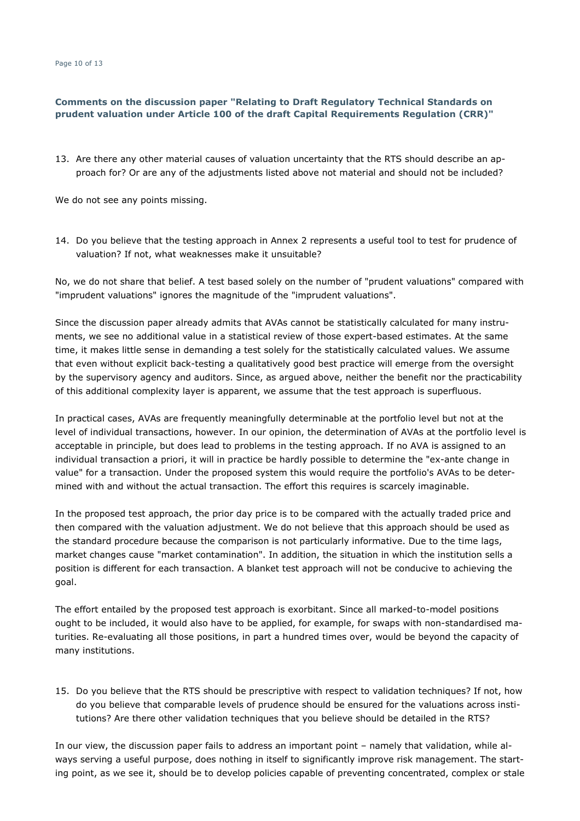13. Are there any other material causes of valuation uncertainty that the RTS should describe an approach for? Or are any of the adjustments listed above not material and should not be included?

We do not see any points missing.

14. Do you believe that the testing approach in Annex 2 represents a useful tool to test for prudence of valuation? If not, what weaknesses make it unsuitable?

No, we do not share that belief. A test based solely on the number of "prudent valuations" compared with "imprudent valuations" ignores the magnitude of the "imprudent valuations".

Since the discussion paper already admits that AVAs cannot be statistically calculated for many instruments, we see no additional value in a statistical review of those expert-based estimates. At the same time, it makes little sense in demanding a test solely for the statistically calculated values. We assume that even without explicit back-testing a qualitatively good best practice will emerge from the oversight by the supervisory agency and auditors. Since, as argued above, neither the benefit nor the practicability of this additional complexity layer is apparent, we assume that the test approach is superfluous.

In practical cases, AVAs are frequently meaningfully determinable at the portfolio level but not at the level of individual transactions, however. In our opinion, the determination of AVAs at the portfolio level is acceptable in principle, but does lead to problems in the testing approach. If no AVA is assigned to an individual transaction a priori, it will in practice be hardly possible to determine the "ex-ante change in value" for a transaction. Under the proposed system this would require the portfolio's AVAs to be determined with and without the actual transaction. The effort this requires is scarcely imaginable.

In the proposed test approach, the prior day price is to be compared with the actually traded price and then compared with the valuation adjustment. We do not believe that this approach should be used as the standard procedure because the comparison is not particularly informative. Due to the time lags, market changes cause "market contamination". In addition, the situation in which the institution sells a position is different for each transaction. A blanket test approach will not be conducive to achieving the goal.

The effort entailed by the proposed test approach is exorbitant. Since all marked-to-model positions ought to be included, it would also have to be applied, for example, for swaps with non-standardised maturities. Re-evaluating all those positions, in part a hundred times over, would be beyond the capacity of many institutions.

15. Do you believe that the RTS should be prescriptive with respect to validation techniques? If not, how do you believe that comparable levels of prudence should be ensured for the valuations across institutions? Are there other validation techniques that you believe should be detailed in the RTS?

In our view, the discussion paper fails to address an important point – namely that validation, while always serving a useful purpose, does nothing in itself to significantly improve risk management. The starting point, as we see it, should be to develop policies capable of preventing concentrated, complex or stale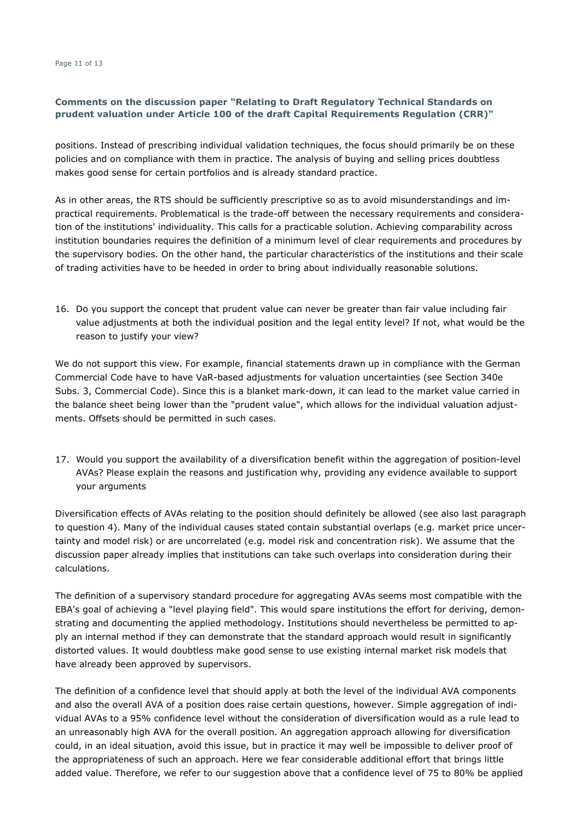positions. Instead of prescribing individual validation techniques, the focus should primarily be on these policies and on compliance with them in practice. The analysis of buying and selling prices doubtless makes good sense for certain portfolios and is already standard practice.

As in other areas, the RTS should be sufficiently prescriptive so as to avoid misunderstandings and impractical requirements. Problematical is the trade-off between the necessary requirements and consideration of the institutions' individuality. This calls for a practicable solution. Achieving comparability across institution boundaries requires the definition of a minimum level of clear requirements and procedures by the supervisory bodies. On the other hand, the particular characteristics of the institutions and their scale of trading activities have to be heeded in order to bring about individually reasonable solutions.

16. Do you support the concept that prudent value can never be greater than fair value including fair value adjustments at both the individual position and the legal entity level? If not, what would be the reason to justify your view?

We do not support this view. For example, financial statements drawn up in compliance with the German Commercial Code have to have VaR-based adjustments for valuation uncertainties (see Section 340e Subs. 3, Commercial Code). Since this is a blanket mark-down, it can lead to the market value carried in the balance sheet being lower than the "prudent value", which allows for the individual valuation adjustments. Offsets should be permitted in such cases.

17. Would you support the availability of a diversification benefit within the aggregation of position-level AVAs? Please explain the reasons and justification why, providing any evidence available to support your arguments

Diversification effects of AVAs relating to the position should definitely be allowed (see also last paragraph to question 4). Many of the individual causes stated contain substantial overlaps (e.g. market price uncertainty and model risk) or are uncorrelated (e.g. model risk and concentration risk). We assume that the discussion paper already implies that institutions can take such overlaps into consideration during their calculations.

The definition of a supervisory standard procedure for aggregating AVAs seems most compatible with the EBA's goal of achieving a "level playing field". This would spare institutions the effort for deriving, demonstrating and documenting the applied methodology. Institutions should nevertheless be permitted to apply an internal method if they can demonstrate that the standard approach would result in significantly distorted values. It would doubtless make good sense to use existing internal market risk models that have already been approved by supervisors.

The definition of a confidence level that should apply at both the level of the individual AVA components and also the overall AVA of a position does raise certain questions, however. Simple aggregation of individual AVAs to a 95% confidence level without the consideration of diversification would as a rule lead to an unreasonably high AVA for the overall position. An aggregation approach allowing for diversification could, in an ideal situation, avoid this issue, but in practice it may well be impossible to deliver proof of the appropriateness of such an approach. Here we fear considerable additional effort that brings little added value. Therefore, we refer to our suggestion above that a confidence level of 75 to 80% be applied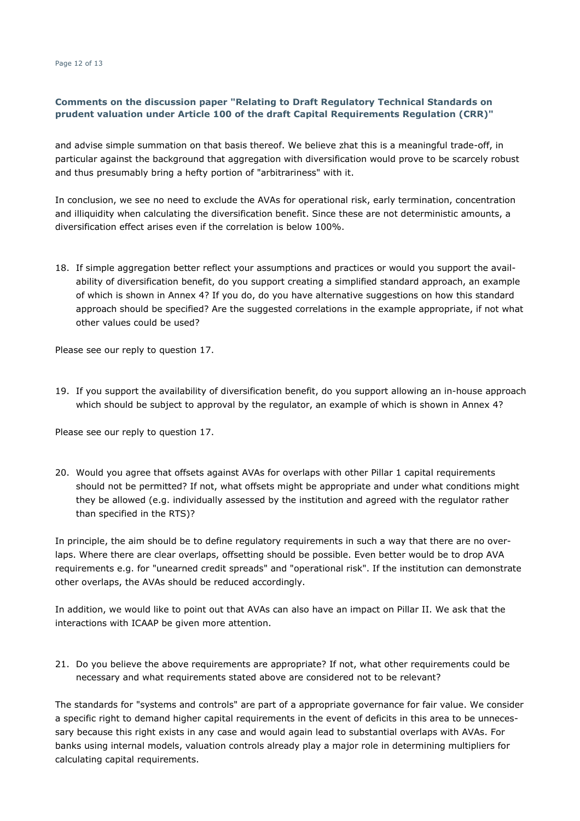and advise simple summation on that basis thereof. We believe zhat this is a meaningful trade-off, in particular against the background that aggregation with diversification would prove to be scarcely robust and thus presumably bring a hefty portion of "arbitrariness" with it.

In conclusion, we see no need to exclude the AVAs for operational risk, early termination, concentration and illiquidity when calculating the diversification benefit. Since these are not deterministic amounts, a diversification effect arises even if the correlation is below 100%.

18. If simple aggregation better reflect your assumptions and practices or would you support the availability of diversification benefit, do you support creating a simplified standard approach, an example of which is shown in Annex 4? If you do, do you have alternative suggestions on how this standard approach should be specified? Are the suggested correlations in the example appropriate, if not what other values could be used?

Please see our reply to question 17.

19. If you support the availability of diversification benefit, do you support allowing an in-house approach which should be subject to approval by the regulator, an example of which is shown in Annex 4?

Please see our reply to question 17.

20. Would you agree that offsets against AVAs for overlaps with other Pillar 1 capital requirements should not be permitted? If not, what offsets might be appropriate and under what conditions might they be allowed (e.g. individually assessed by the institution and agreed with the regulator rather than specified in the RTS)?

In principle, the aim should be to define regulatory requirements in such a way that there are no overlaps. Where there are clear overlaps, offsetting should be possible. Even better would be to drop AVA requirements e.g. for "unearned credit spreads" and "operational risk". If the institution can demonstrate other overlaps, the AVAs should be reduced accordingly.

In addition, we would like to point out that AVAs can also have an impact on Pillar II. We ask that the interactions with ICAAP be given more attention.

21. Do you believe the above requirements are appropriate? If not, what other requirements could be necessary and what requirements stated above are considered not to be relevant?

The standards for "systems and controls" are part of a appropriate governance for fair value. We consider a specific right to demand higher capital requirements in the event of deficits in this area to be unnecessary because this right exists in any case and would again lead to substantial overlaps with AVAs. For banks using internal models, valuation controls already play a major role in determining multipliers for calculating capital requirements.